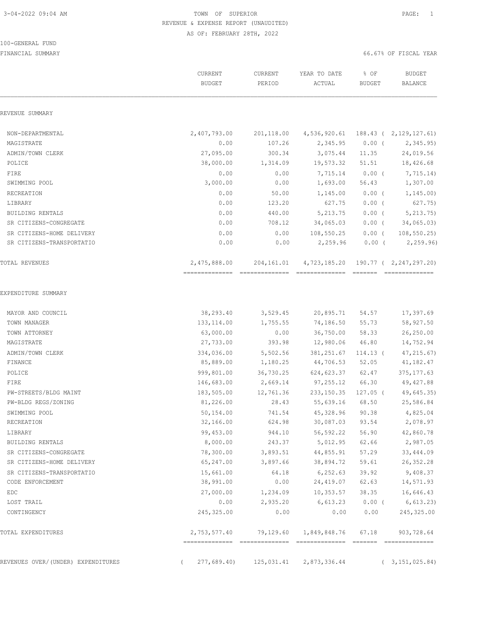#### 100-GENERAL FUND

|                                    | CURRENT<br><b>BUDGET</b> | CURRENT<br>PERIOD | YEAR TO DATE<br>ACTUAL | % OF<br><b>BUDGET</b> | <b>BUDGET</b><br>BALANCE                     |
|------------------------------------|--------------------------|-------------------|------------------------|-----------------------|----------------------------------------------|
| REVENUE SUMMARY                    |                          |                   |                        |                       |                                              |
| NON-DEPARTMENTAL                   | 2,407,793.00             | 201,118.00        | 4,536,920.61           |                       | 188.43 ( 2,129,127.61)                       |
| MAGISTRATE                         | 0.00                     | 107.26            | 2,345.95               | $0.00$ (              | 2,345.95                                     |
| ADMIN/TOWN CLERK                   | 27,095.00                | 300.34            | 3,075.44               | 11.35                 | 24,019.56                                    |
| POLICE                             | 38,000.00                | 1,314.09          | 19,573.32              | 51.51                 | 18,426.68                                    |
| FIRE                               | 0.00                     | 0.00              | 7,715.14               | $0.00$ (              | 7,715.14)                                    |
| SWIMMING POOL                      | 3,000.00                 | 0.00              | 1,693.00               | 56.43                 | 1,307.00                                     |
| RECREATION                         | 0.00                     | 50.00             | 1,145.00               | $0.00$ (              | 1, 145.00                                    |
| LIBRARY                            | 0.00                     | 123.20            | 627.75                 | $0.00$ (              | 627.75)                                      |
| BUILDING RENTALS                   | 0.00                     | 440.00            | 5, 213.75              | $0.00$ (              | 5, 213.75                                    |
| SR CITIZENS-CONGREGATE             | 0.00                     | 708.12            | 34,065.03              | $0.00$ (              | 34,065.03)                                   |
| SR CITIZENS-HOME DELIVERY          | 0.00                     | 0.00              | 108,550.25             | $0.00$ (              | 108, 550.25                                  |
| SR CITIZENS-TRANSPORTATIO          | 0.00                     | 0.00              | 2,259.96               | $0.00$ (              | 2, 259.96                                    |
| TOTAL REVENUES                     | 2,475,888.00             | 204,161.01        | 4,723,185.20           |                       | 190.77 ( 2,247,297.20)<br>$2222222222222222$ |
| EXPENDITURE SUMMARY                |                          |                   |                        |                       |                                              |
| MAYOR AND COUNCIL                  | 38,293.40                | 3,529.45          | 20,895.71              | 54.57                 | 17,397.69                                    |
| TOWN MANAGER                       | 133, 114.00              | 1,755.55          | 74,186.50              | 55.73                 | 58,927.50                                    |
| TOWN ATTORNEY                      | 63,000.00                | 0.00              | 36,750.00              | 58.33                 | 26,250.00                                    |
| MAGISTRATE                         | 27,733.00                | 393.98            | 12,980.06              | 46.80                 | 14,752.94                                    |
| ADMIN/TOWN CLERK                   | 334,036.00               | 5,502.56          | 381, 251.67            | $114.13$ (            | 47, 215.67)                                  |
| FINANCE                            | 85,889.00                | 1,180.25          | 44,706.53              | 52.05                 | 41,182.47                                    |
| POLICE                             | 999,801.00               | 36,730.25         | 624,623.37             | 62.47                 | 375, 177.63                                  |
| FIRE                               | 146,683.00               | 2,669.14          | 97, 255.12             | 66.30                 | 49, 427.88                                   |
| PW-STREETS/BLDG MAINT              | 183,505.00               | 12,761.36         | 233, 150.35            | $127.05$ (            | 49,645.35)                                   |
| PW-BLDG REGS/ZONING                | 81,226.00                | 28.43             | 55,639.16              | 68.50                 | 25,586.84                                    |
| SWIMMING POOL                      | 50,154.00                | 741.54            | 45,328.96              | 90.38                 | 4,825.04                                     |
| RECREATION                         | 32,166.00                | 624.98            | 30,087.03              | 93.54                 | 2,078.97                                     |
| LIBRARY                            | 99,453.00                | 944.10            | 56, 592.22             | 56.90                 | 42,860.78                                    |
| BUILDING RENTALS                   | 8,000.00                 | 243.37            | 5,012.95               | 62.66                 | 2,987.05                                     |
| SR CITIZENS-CONGREGATE             | 78,300.00                | 3,893.51          | 44,855.91              | 57.29                 | 33,444.09                                    |
| SR CITIZENS-HOME DELIVERY          | 65,247.00                | 3,897.66          | 38,894.72              | 59.61                 | 26, 352.28                                   |
| SR CITIZENS-TRANSPORTATIO          | 15,661.00                | 64.18             | 6,252.63               | 39.92                 | 9,408.37                                     |
| CODE ENFORCEMENT                   | 38,991.00                | 0.00              | 24,419.07              | 62.63                 | 14,571.93                                    |
| EDC                                | 27,000.00                | 1,234.09          | 10, 353.57             | 38.35                 | 16,646.43                                    |
| LOST TRAIL                         | 0.00                     | 2,935.20          | 6,613.23               | $0.00$ (              | 6, 613.23)                                   |
| CONTINGENCY                        | 245,325.00               | 0.00              | 0.00                   | 0.00                  | 245, 325.00                                  |
| TOTAL EXPENDITURES                 | 2,753,577.40             | 79,129.60         | 1,849,848.76           | 67.18                 | 903,728.64                                   |
| REVENUES OVER/(UNDER) EXPENDITURES | 277,689.40)              | 125,031.41        | 2,873,336.44           |                       | 3, 151, 025.84)                              |
|                                    |                          |                   |                        |                       |                                              |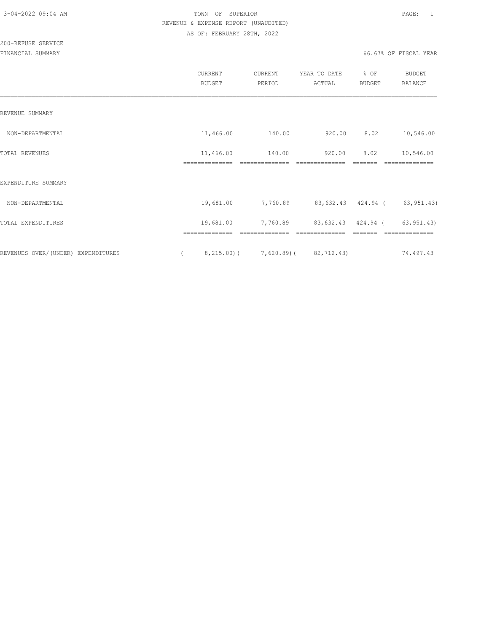| <b>BUDGET</b> | CURRENT<br>PERIOD                | YEAR TO DATE<br>ACTUAL                     | % OF<br><b>BUDGET</b>                                                          | <b>BUDGET</b><br><b>BALANCE</b>                               |
|---------------|----------------------------------|--------------------------------------------|--------------------------------------------------------------------------------|---------------------------------------------------------------|
|               |                                  |                                            |                                                                                |                                                               |
| 11,466.00     |                                  | 920.00                                     | 8.02                                                                           | 10,546.00                                                     |
| 11,466.00     | 140.00                           | 920.00                                     | 8.02                                                                           | 10,546.00<br>--------------                                   |
|               |                                  |                                            |                                                                                |                                                               |
| 19,681.00     | 7,760.89                         |                                            |                                                                                |                                                               |
| 19,681.00     | 7,760.89                         |                                            |                                                                                | 63, 951.43)                                                   |
|               |                                  |                                            |                                                                                | ==============<br>74,497.43                                   |
|               | ==============<br>============== | 140.00<br>--------------<br>============== | --------------<br>==============<br>$8, 215.00$ ( $7, 620.89$ ( $82, 712.43$ ) | -------<br>83,632.43 424.94 (63,951.43)<br>83,632.43 424.94 ( |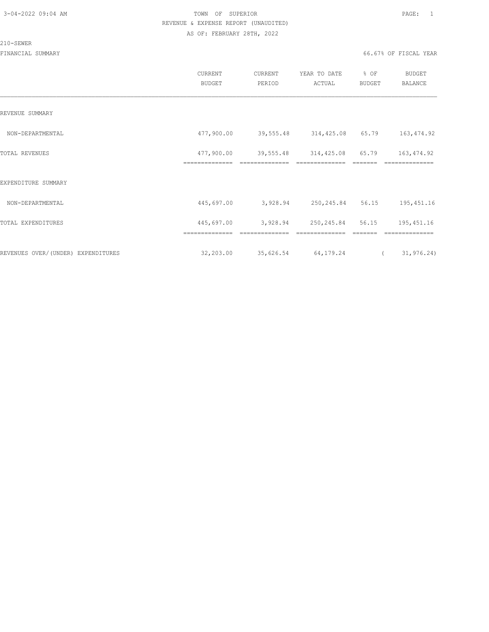#### 210-SEWER

|                                    | CURRENT<br><b>BUDGET</b> | CURRENT<br>PERIOD | YEAR TO DATE<br>ACTUAL | % OF<br>BUDGET | <b>BUDGET</b><br>BALANCE |
|------------------------------------|--------------------------|-------------------|------------------------|----------------|--------------------------|
| REVENUE SUMMARY                    |                          |                   |                        |                |                          |
| NON-DEPARTMENTAL                   | 477,900.00               | 39,555.48         | 314,425.08             | 65.79          | 163, 474.92              |
| TOTAL REVENUES                     | 477,900.00               | 39,555.48         | 314,425.08             | 65.79          | 163, 474.92              |
| EXPENDITURE SUMMARY                | ==============           | --------------    |                        |                | ==============           |
| NON-DEPARTMENTAL                   | 445,697.00               | 3,928.94          | 250, 245.84 56.15      |                | 195, 451.16              |
| TOTAL EXPENDITURES                 | 445,697.00               | 3,928.94          | 250,245.84             | 56.15          | 195, 451.16              |
|                                    | ==============           | ==============    | ==============         | =======        | ==============           |
| REVENUES OVER/(UNDER) EXPENDITURES | 32,203.00                | 35,626.54         | 64,179.24              | $\left($       | 31, 976.24)              |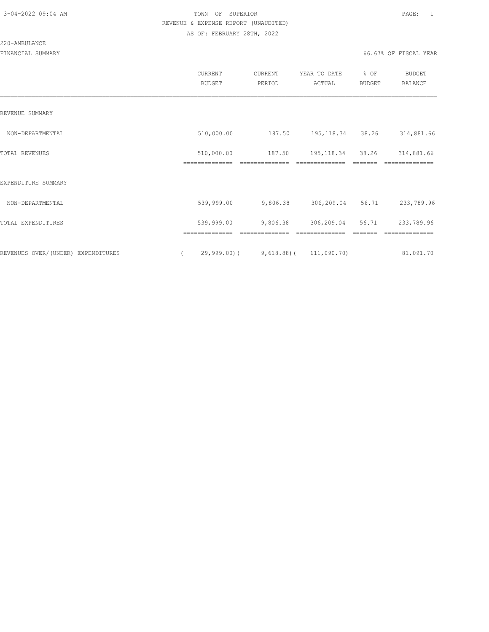#### 220-AMBULANCE

|                                    | CURRENT<br><b>BUDGET</b> | CURRENT<br>PERIOD | YEAR TO DATE<br>ACTUAL      | % OF<br>BUDGET | <b>BUDGET</b><br>BALANCE |
|------------------------------------|--------------------------|-------------------|-----------------------------|----------------|--------------------------|
| REVENUE SUMMARY                    |                          |                   |                             |                |                          |
| NON-DEPARTMENTAL                   | 510,000.00               | 187.50            | 195, 118.34                 | 38.26          | 314,881.66               |
| TOTAL REVENUES                     | 510,000.00               | 187.50            | 195, 118.34                 | 38.26          | 314,881.66               |
| EXPENDITURE SUMMARY                | ==============           | ==============    |                             |                | ==============           |
| NON-DEPARTMENTAL                   | 539,999.00               | 9,806.38          | 306,209.04                  | 56.71          | 233,789.96               |
| TOTAL EXPENDITURES                 | 539,999.00               | 9,806.38          | 306,209.04                  | 56.71          | 233,789.96               |
|                                    | ==============           | ==============    | ==============              |                | --------------           |
| REVENUES OVER/(UNDER) EXPENDITURES | $29,999.00$ (            |                   | $9,618.88$ ( $111,090.70$ ) |                | 81,091.70                |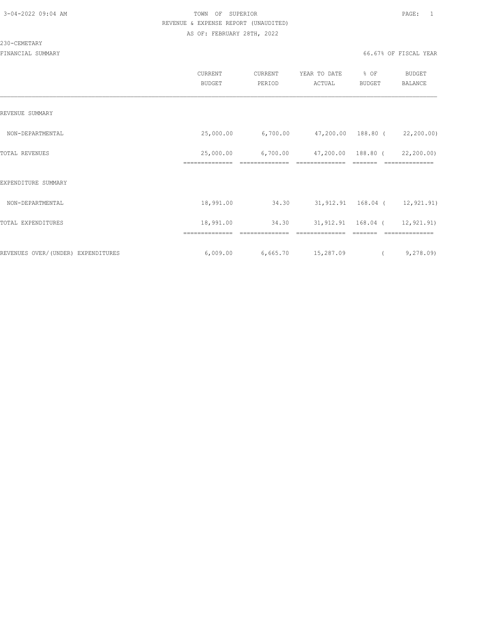#### 230-CEMETARY

|                                    | CURRENT<br><b>BUDGET</b>    | CURRENT<br>PERIOD                               | YEAR TO DATE<br>ACTUAL               | % OF<br><b>BUDGET</b> | BUDGET<br>BALANCE            |
|------------------------------------|-----------------------------|-------------------------------------------------|--------------------------------------|-----------------------|------------------------------|
| REVENUE SUMMARY                    |                             |                                                 |                                      |                       |                              |
| NON-DEPARTMENTAL                   | 25,000.00                   | $6,700.00$ $47,200.00$ $188.80$ ( $22,200.00$ ) |                                      |                       |                              |
| TOTAL REVENUES                     | 25,000.00<br>============== | 6,700.00<br>==============                      | 47,200.00 188.80 (<br>============== |                       | 22,200.00)<br>============== |
| EXPENDITURE SUMMARY                |                             |                                                 |                                      |                       |                              |
| NON-DEPARTMENTAL                   | 18,991.00                   | 34.30                                           | 31,912.91  168.04 ( 12,921.91)       |                       |                              |
| TOTAL EXPENDITURES                 | 18,991.00                   | 34.30                                           | 31,912.91  168.04 ( 12,921.91)       |                       |                              |
|                                    | ==============              | ==============                                  | ==============                       |                       | ==============               |
| REVENUES OVER/(UNDER) EXPENDITURES | 6,009.00                    | 6,665.70 15,287.09                              |                                      | $\left($              | 9,278.09                     |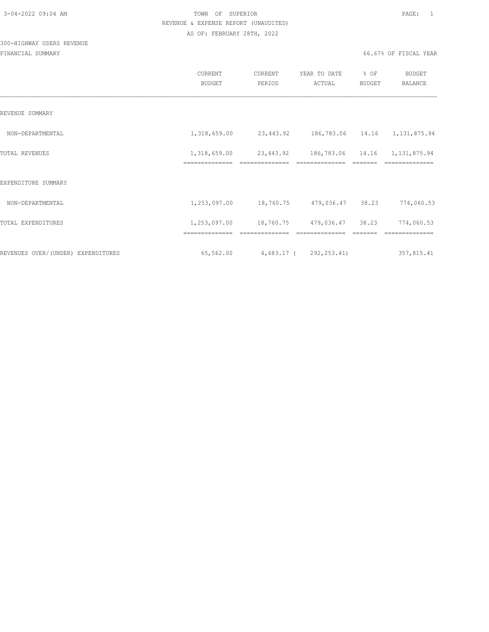# 300-HIGHWAY USERS REVENUE

|                                    | CURRENT<br><b>BUDGET</b>       | CURRENT<br>PERIOD                       | YEAR TO DATE<br>ACTUAL                          | % OF<br>BUDGET | <b>BUDGET</b><br>BALANCE |
|------------------------------------|--------------------------------|-----------------------------------------|-------------------------------------------------|----------------|--------------------------|
| REVENUE SUMMARY                    |                                |                                         |                                                 |                |                          |
| NON-DEPARTMENTAL                   | 1,318,659.00                   | 23,443.92 186,783.06 14.16 1,131,875.94 |                                                 |                |                          |
| <b>TOTAL REVENUES</b>              | 1,318,659.00                   | 23,443.92                               | 186,783.06 14.16 1,131,875.94<br>============== |                |                          |
| EXPENDITURE SUMMARY                |                                |                                         |                                                 |                |                          |
| NON-DEPARTMENTAL                   | 1,253,097.00                   |                                         | 18,760.75 479,036.47                            | 38.23          | 774,060.53               |
| TOTAL EXPENDITURES                 | 1,253,097.00<br>============== |                                         | 18,760.75 479,036.47                            | 38.23          | 774,060.53               |
| REVENUES OVER/(UNDER) EXPENDITURES | 65,562.00                      | 4,683.17 ( 292,253.41)                  |                                                 |                | 357,815.41               |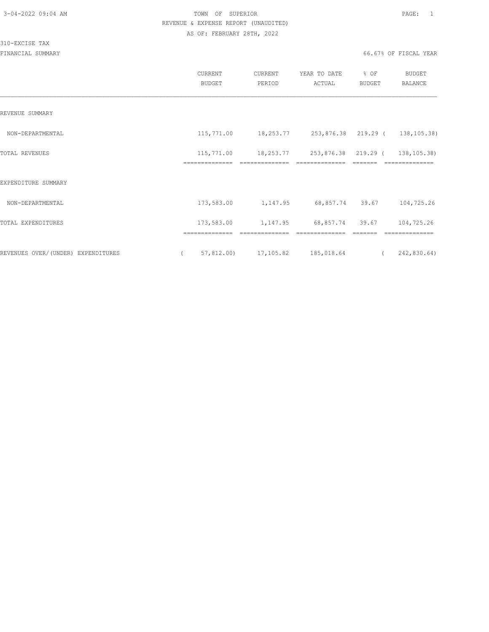#### 310-EXCISE TAX

|                                    | CURRENT<br><b>BUDGET</b>     | CURRENT<br>PERIOD | YEAR TO DATE<br>ACTUAL        | % OF<br><b>BUDGET</b> | <b>BUDGET</b><br><b>BALANCE</b> |
|------------------------------------|------------------------------|-------------------|-------------------------------|-----------------------|---------------------------------|
| REVENUE SUMMARY                    |                              |                   |                               |                       |                                 |
| NON-DEPARTMENTAL                   | 115,771.00                   |                   | 18,253.77 253,876.38 219.29 ( |                       | 138, 105.38)                    |
| TOTAL REVENUES                     | 115,771.00<br>-------------- |                   | 18,253.77 253,876.38 219.29 ( |                       | 138, 105.38)                    |
| EXPENDITURE SUMMARY                |                              |                   |                               |                       |                                 |
| NON-DEPARTMENTAL                   | 173,583.00                   | 1,147.95          | 68,857.74 39.67               |                       | 104,725.26                      |
| TOTAL EXPENDITURES                 | 173,583.00                   | 1,147.95          | 68,857.74 39.67               |                       | 104,725.26                      |
| REVENUES OVER/(UNDER) EXPENDITURES | 57,812.00                    | 17,105.82         | 185,018.64                    |                       | 242,830.64)                     |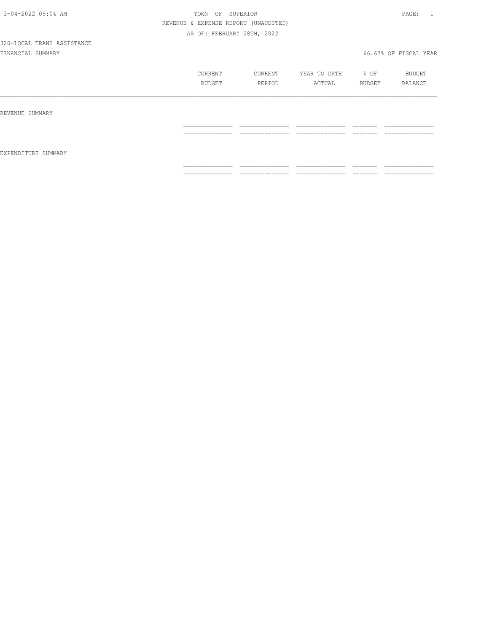|                     | CURRENT<br>BUDGET                                                                                                                                                                                                                                                                                                                                                                                                                                                                            | CURRENT<br>PERIOD                                                                                                                                                                                                                                                                                                                                                                                                                                                                      | YEAR TO DATE<br>ACTUAL                                                                                                                                                                                                                                                                                                                                                                                                                                                                 | % OF<br>BUDGET          | BUDGET<br>BALANCE                 |
|---------------------|----------------------------------------------------------------------------------------------------------------------------------------------------------------------------------------------------------------------------------------------------------------------------------------------------------------------------------------------------------------------------------------------------------------------------------------------------------------------------------------------|----------------------------------------------------------------------------------------------------------------------------------------------------------------------------------------------------------------------------------------------------------------------------------------------------------------------------------------------------------------------------------------------------------------------------------------------------------------------------------------|----------------------------------------------------------------------------------------------------------------------------------------------------------------------------------------------------------------------------------------------------------------------------------------------------------------------------------------------------------------------------------------------------------------------------------------------------------------------------------------|-------------------------|-----------------------------------|
| REVENUE SUMMARY     |                                                                                                                                                                                                                                                                                                                                                                                                                                                                                              |                                                                                                                                                                                                                                                                                                                                                                                                                                                                                        |                                                                                                                                                                                                                                                                                                                                                                                                                                                                                        |                         |                                   |
|                     | $\begin{array}{c} \multicolumn{2}{c} {\textbf{1}} & \multicolumn{2}{c} {\textbf{2}} & \multicolumn{2}{c} {\textbf{3}} & \multicolumn{2}{c} {\textbf{4}} \\ \multicolumn{2}{c} {\textbf{2}} & \multicolumn{2}{c} {\textbf{3}} & \multicolumn{2}{c} {\textbf{4}} & \multicolumn{2}{c} {\textbf{5}} & \multicolumn{2}{c} {\textbf{6}} \\ \multicolumn{2}{c} {\textbf{5}} & \multicolumn{2}{c} {\textbf{6}} & \multicolumn{2}{c} {\textbf{7}} & \multicolumn{2}{c} {\textbf{8}} & \multicolumn{$ | $\begin{array}{cccccccccc} \multicolumn{2}{c}{} & \multicolumn{2}{c}{} & \multicolumn{2}{c}{} & \multicolumn{2}{c}{} & \multicolumn{2}{c}{} & \multicolumn{2}{c}{} & \multicolumn{2}{c}{} & \multicolumn{2}{c}{} & \multicolumn{2}{c}{} & \multicolumn{2}{c}{} & \multicolumn{2}{c}{} & \multicolumn{2}{c}{} & \multicolumn{2}{c}{} & \multicolumn{2}{c}{} & \multicolumn{2}{c}{} & \multicolumn{2}{c}{} & \multicolumn{2}{c}{} & \multicolumn{2}{c}{} & \multicolumn{2}{c}{} & \mult$ | $\begin{array}{cccccccccc} \multicolumn{2}{c}{} & \multicolumn{2}{c}{} & \multicolumn{2}{c}{} & \multicolumn{2}{c}{} & \multicolumn{2}{c}{} & \multicolumn{2}{c}{} & \multicolumn{2}{c}{} & \multicolumn{2}{c}{} & \multicolumn{2}{c}{} & \multicolumn{2}{c}{} & \multicolumn{2}{c}{} & \multicolumn{2}{c}{} & \multicolumn{2}{c}{} & \multicolumn{2}{c}{} & \multicolumn{2}{c}{} & \multicolumn{2}{c}{} & \multicolumn{2}{c}{} & \multicolumn{2}{c}{} & \multicolumn{2}{c}{} & \mult$ | $=$ $=$ $=$ $=$ $=$ $=$ | ==============                    |
| EXPENDITURE SUMMARY |                                                                                                                                                                                                                                                                                                                                                                                                                                                                                              |                                                                                                                                                                                                                                                                                                                                                                                                                                                                                        |                                                                                                                                                                                                                                                                                                                                                                                                                                                                                        |                         |                                   |
|                     | ==============                                                                                                                                                                                                                                                                                                                                                                                                                                                                               | ______________<br>---------------                                                                                                                                                                                                                                                                                                                                                                                                                                                      | ==============                                                                                                                                                                                                                                                                                                                                                                                                                                                                         |                         | ______________<br>--------------- |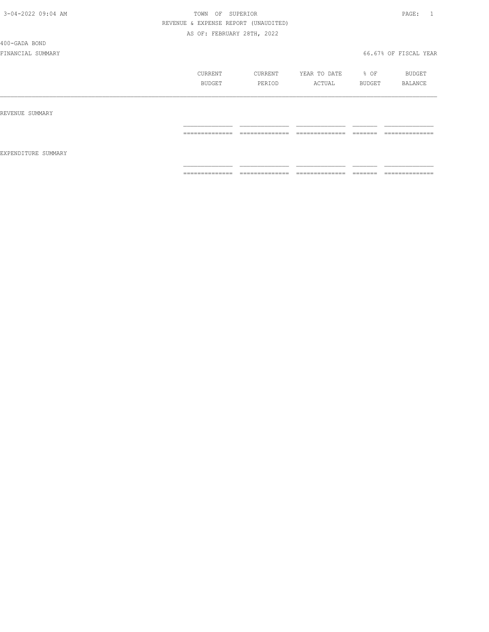400-GADA BOND

|                     | CURRENT<br>BUDGET                                                                                                                                                                                                                                                                                                                                                                                                                                                                            | CURRENT<br>PERIOD                 | YEAR TO DATE<br>ACTUAL                                                                                                                                                                                                                                                                                                                                                                                                                                                                       | % OF<br>BUDGET                                                                                                                                                                                                                                                                                                                                                                                                                                                                                                                                                 | BUDGET<br>BALANCE                 |
|---------------------|----------------------------------------------------------------------------------------------------------------------------------------------------------------------------------------------------------------------------------------------------------------------------------------------------------------------------------------------------------------------------------------------------------------------------------------------------------------------------------------------|-----------------------------------|----------------------------------------------------------------------------------------------------------------------------------------------------------------------------------------------------------------------------------------------------------------------------------------------------------------------------------------------------------------------------------------------------------------------------------------------------------------------------------------------|----------------------------------------------------------------------------------------------------------------------------------------------------------------------------------------------------------------------------------------------------------------------------------------------------------------------------------------------------------------------------------------------------------------------------------------------------------------------------------------------------------------------------------------------------------------|-----------------------------------|
| REVENUE SUMMARY     |                                                                                                                                                                                                                                                                                                                                                                                                                                                                                              |                                   |                                                                                                                                                                                                                                                                                                                                                                                                                                                                                              |                                                                                                                                                                                                                                                                                                                                                                                                                                                                                                                                                                |                                   |
|                     | ______________<br>---------------                                                                                                                                                                                                                                                                                                                                                                                                                                                            | ______________<br>-------------   | ______________<br>______________                                                                                                                                                                                                                                                                                                                                                                                                                                                             | --------<br>-------                                                                                                                                                                                                                                                                                                                                                                                                                                                                                                                                            | ______________<br>--------------  |
| EXPENDITURE SUMMARY |                                                                                                                                                                                                                                                                                                                                                                                                                                                                                              |                                   |                                                                                                                                                                                                                                                                                                                                                                                                                                                                                              |                                                                                                                                                                                                                                                                                                                                                                                                                                                                                                                                                                |                                   |
|                     | $\begin{array}{c} \multicolumn{2}{c} {\textbf{1}} & \multicolumn{2}{c} {\textbf{2}} & \multicolumn{2}{c} {\textbf{3}} & \multicolumn{2}{c} {\textbf{4}} \\ \multicolumn{2}{c} {\textbf{2}} & \multicolumn{2}{c} {\textbf{3}} & \multicolumn{2}{c} {\textbf{4}} & \multicolumn{2}{c} {\textbf{5}} & \multicolumn{2}{c} {\textbf{6}} \\ \multicolumn{2}{c} {\textbf{5}} & \multicolumn{2}{c} {\textbf{6}} & \multicolumn{2}{c} {\textbf{7}} & \multicolumn{2}{c} {\textbf{8}} & \multicolumn{$ | ______________<br>_______________ | $\begin{array}{c} \multicolumn{2}{c} {\textbf{1}} & \multicolumn{2}{c} {\textbf{2}} & \multicolumn{2}{c} {\textbf{3}} & \multicolumn{2}{c} {\textbf{4}} \\ \multicolumn{2}{c} {\textbf{5}} & \multicolumn{2}{c} {\textbf{6}} & \multicolumn{2}{c} {\textbf{7}} & \multicolumn{2}{c} {\textbf{8}} & \multicolumn{2}{c} {\textbf{9}} \\ \multicolumn{2}{c} {\textbf{1}} & \multicolumn{2}{c} {\textbf{1}} & \multicolumn{2}{c} {\textbf{1}} & \multicolumn{2}{c} {\textbf{1}} & \multicolumn{$ | $\begin{array}{c} \begin{array}{c} \begin{array}{c} \begin{array}{c} \begin{array}{c} \end{array}\\ \end{array}\\ \end{array} \end{array} \end{array} \end{array} \end{array} \end{array} \end{array} \begin{array}{c} \begin{array}{c} \begin{array}{c} \begin{array}{c} \end{array}\\ \end{array} \end{array} \end{array} \end{array} \begin{array}{c} \begin{array}{c} \begin{array}{c} \end{array}\\ \end{array} \end{array} \end{array} \end{array} \begin{array}{c} \begin{array}{c} \begin{array}{c} \end{array}\\ \end{array} \end{array} \end{array}$ | ______________<br>--------------- |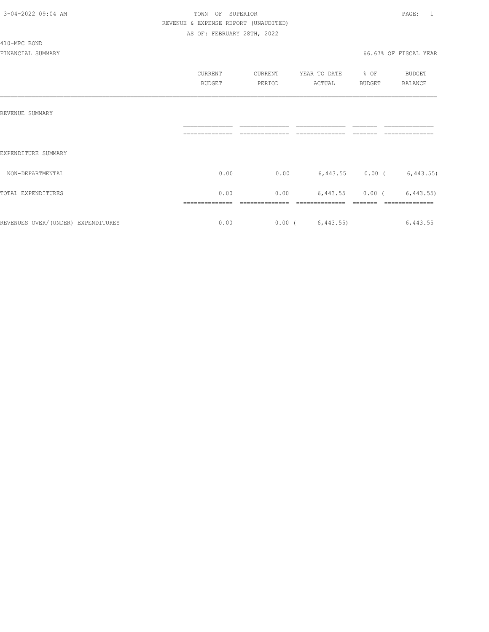#### 410-MPC BOND

|                                    | CURRENT<br><b>BUDGET</b> | CURRENT<br>PERIOD | YEAR TO DATE<br>ACTUAL | % OF<br><b>BUDGET</b> | BUDGET<br><b>BALANCE</b> |
|------------------------------------|--------------------------|-------------------|------------------------|-----------------------|--------------------------|
| REVENUE SUMMARY                    | ______________           |                   |                        |                       |                          |
| EXPENDITURE SUMMARY                |                          |                   |                        |                       |                          |
| NON-DEPARTMENTAL                   | 0.00                     | 0.00              |                        | $6,443.55$ 0.00 (     | 6,443.55)                |
| TOTAL EXPENDITURES                 | 0.00                     | 0.00              | 6,443.55               | $0.00$ (              | 6,443.55                 |
| REVENUES OVER/(UNDER) EXPENDITURES | 0.00                     | $0.00$ (          | 6,443.55               |                       | 6,443.55                 |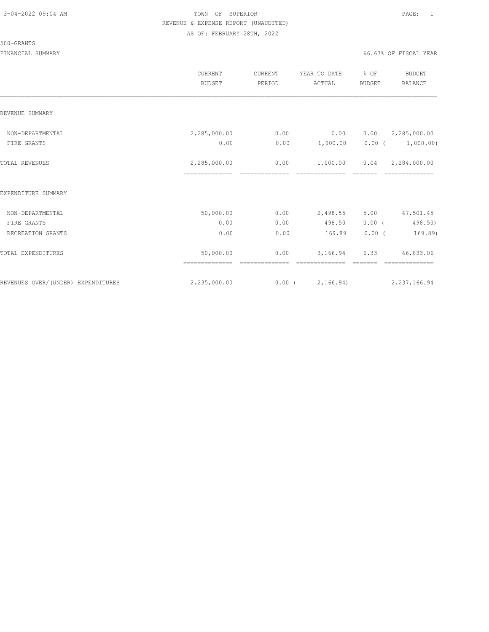#### 500-GRANTS

|                                    | <b>CURRENT</b><br><b>BUDGET</b> | CURRENT<br>PERIOD | YEAR TO DATE<br>ACTUAL | % OF<br><b>BUDGET</b> | <b>BUDGET</b><br><b>BALANCE</b>              |
|------------------------------------|---------------------------------|-------------------|------------------------|-----------------------|----------------------------------------------|
| REVENUE SUMMARY                    |                                 |                   |                        |                       |                                              |
| NON-DEPARTMENTAL<br>FIRE GRANTS    | 2,285,000.00<br>0.00            | 0.00<br>0.00      | 0.00<br>1,000.00       |                       | 0.00 2, 285, 000.00<br>$0.00$ ( $1,000.00$ ) |
| TOTAL REVENUES                     | 2,285,000.00                    | 0.00              | 1,000.00               |                       | $0.04$ 2,284,000.00                          |
| EXPENDITURE SUMMARY                |                                 |                   |                        |                       |                                              |
| NON-DEPARTMENTAL                   | 50,000.00                       | 0.00              | 2,498.55               | 5.00                  | 47,501.45                                    |
| FIRE GRANTS                        | 0.00                            | 0.00              | 498.50                 | 0.00(                 | 498.50)                                      |
| RECREATION GRANTS                  | 0.00                            | 0.00              | 169.89                 | $0.00$ (              | 169.89)                                      |
| TOTAL EXPENDITURES                 | 50,000.00                       | 0.00              | 3,166.94               | 6.33                  | 46,833.06                                    |
| REVENUES OVER/(UNDER) EXPENDITURES | 2,235,000.00                    |                   | 0.00(2,166.94)         |                       | 2, 237, 166.94                               |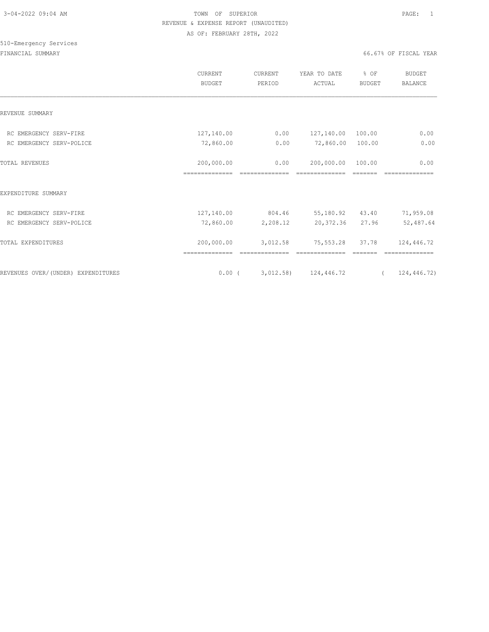|                                    | CURRENT<br><b>BUDGET</b>     | CURRENT<br>PERIOD      | YEAR TO DATE<br>ACTUAL       | % OF<br><b>BUDGET</b> | <b>BUDGET</b><br>BALANCE |
|------------------------------------|------------------------------|------------------------|------------------------------|-----------------------|--------------------------|
| REVENUE SUMMARY                    |                              |                        |                              |                       |                          |
| RC EMERGENCY SERV-FIRE             | 127,140.00                   | 0.00                   | 127,140.00                   | 100.00                | 0.00                     |
| RC EMERGENCY SERV-POLICE           | 72,860.00                    | 0.00                   | 72,860.00                    | 100.00                | 0.00                     |
| <b>TOTAL REVENUES</b>              | 200,000.00<br>============== | 0.00<br>-------------- | 200,000.00<br>============== | 100.00<br>=======     | 0.00                     |
| EXPENDITURE SUMMARY                |                              |                        |                              |                       |                          |
| RC EMERGENCY SERV-FIRE             | 127,140.00                   | 804.46                 | 55,180.92 43.40              |                       | 71,959.08                |
| RC EMERGENCY SERV-POLICE           | 72,860.00                    | 2,208.12               | 20,372.36 27.96              |                       | 52,487.64                |
| TOTAL EXPENDITURES                 | 200,000.00                   | 3,012.58               | 75,553.28                    | 37.78                 | 124,446.72               |
| REVENUES OVER/(UNDER) EXPENDITURES | $0.00$ (                     |                        | 3,012.58) 124,446.72         | $\overline{a}$        | 124,446.72)              |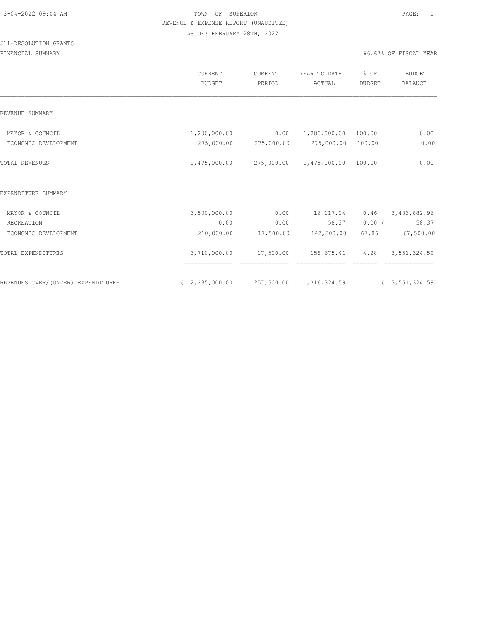|                                    | <b>CURRENT</b><br><b>BUDGET</b>                   | CURRENT<br>PERIOD             | YEAR TO DATE<br>ACTUAL            | % OF<br><b>BUDGET</b> | <b>BUDGET</b><br><b>BALANCE</b> |
|------------------------------------|---------------------------------------------------|-------------------------------|-----------------------------------|-----------------------|---------------------------------|
| REVENUE SUMMARY                    |                                                   |                               |                                   |                       |                                 |
| MAYOR & COUNCIL                    | 1,200,000.00                                      | 0.00<br>275,000.00 275,000.00 | 1,200,000.00 100.00<br>275,000.00 | 100.00                | 0.00<br>0.00                    |
| ECONOMIC DEVELOPMENT               |                                                   |                               |                                   |                       |                                 |
| <b>TOTAL REVENUES</b>              | 1,475,000.00                                      | 275,000.00 1,475,000.00       |                                   | 100.00                | 0.00                            |
|                                    | ==============                                    |                               |                                   |                       |                                 |
| EXPENDITURE SUMMARY                |                                                   |                               |                                   |                       |                                 |
| MAYOR & COUNCIL                    | 3,500,000.00                                      | 0.00                          | 16,117.04                         | 0.46                  | 3,483,882.96                    |
| RECREATION                         | 0.00                                              | 0.00                          | 58.37                             | $0.00$ (              | 58.37)                          |
| ECONOMIC DEVELOPMENT               | 210,000.00                                        | 17,500.00                     | 142,500.00                        | 67.86                 | 67,500.00                       |
| TOTAL EXPENDITURES                 | 3,710,000.00                                      | 17,500.00                     | 158,675.41                        | 4.28                  | 3,551,324.59                    |
|                                    |                                                   |                               |                                   |                       |                                 |
| REVENUES OVER/(UNDER) EXPENDITURES | $(2, 235, 000.00)$ $257, 500.00$ $1, 316, 324.59$ |                               |                                   |                       | (3, 551, 324.59)                |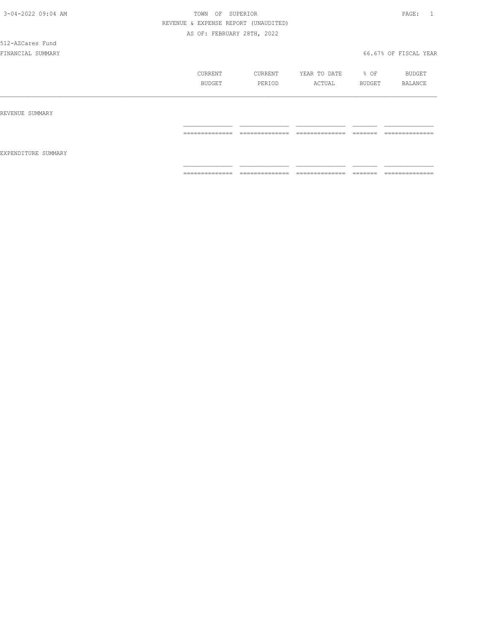# 512-AZCares Fund

|                     | CURRENT<br>BUDGET                                                                                                                                                                                                                                                                                                                                                                                                                                                                            | CURRENT<br>PERIOD   | YEAR TO DATE<br>ACTUAL           | % OF<br>BUDGET       | BUDGET<br>BALANCE   |
|---------------------|----------------------------------------------------------------------------------------------------------------------------------------------------------------------------------------------------------------------------------------------------------------------------------------------------------------------------------------------------------------------------------------------------------------------------------------------------------------------------------------------|---------------------|----------------------------------|----------------------|---------------------|
| REVENUE SUMMARY     |                                                                                                                                                                                                                                                                                                                                                                                                                                                                                              |                     |                                  |                      |                     |
| EXPENDITURE SUMMARY | $\begin{array}{c} \multicolumn{2}{c} {\textbf{1}} & \multicolumn{2}{c} {\textbf{2}} & \multicolumn{2}{c} {\textbf{3}} & \multicolumn{2}{c} {\textbf{4}} \\ \multicolumn{2}{c} {\textbf{5}} & \multicolumn{2}{c} {\textbf{6}} & \multicolumn{2}{c} {\textbf{7}} & \multicolumn{2}{c} {\textbf{8}} & \multicolumn{2}{c} {\textbf{9}} \\ \multicolumn{2}{c} {\textbf{1}} & \multicolumn{2}{c} {\textbf{1}} & \multicolumn{2}{c} {\textbf{1}} & \multicolumn{2}{c} {\textbf{1}} & \multicolumn{$ | ______________<br>. | --------------<br>______________ | --------<br>________ | --------------<br>. |
|                     | ==============                                                                                                                                                                                                                                                                                                                                                                                                                                                                               | $2222222222222222$  | ==============                   | --------<br>-------  | ==============      |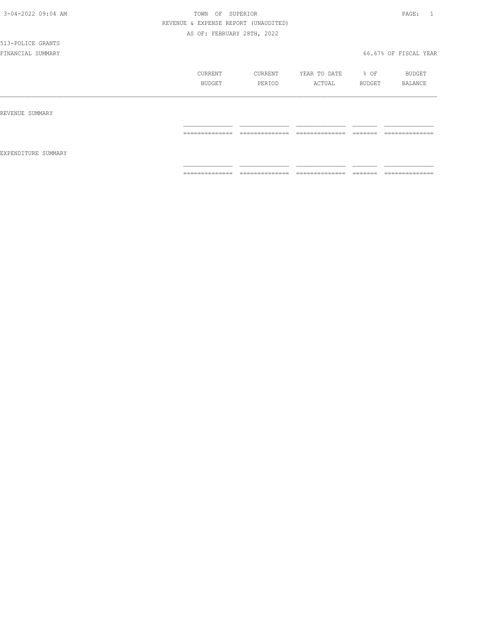# 513-POLICE GRANTS

|                     | CURRENT<br>BUDGET | CURRENT<br>PERIOD               | YEAR TO DATE<br>ACTUAL | % OF<br>BUDGET      | BUDGET<br>BALANCE |
|---------------------|-------------------|---------------------------------|------------------------|---------------------|-------------------|
| REVENUE SUMMARY     |                   |                                 |                        |                     |                   |
| EXPENDITURE SUMMARY | ==============    | --------------<br>------------- | ==============         | -------<br>_______  | ==============    |
|                     | ==============    | ==============                  | ==============         | --------<br>------- | --------------    |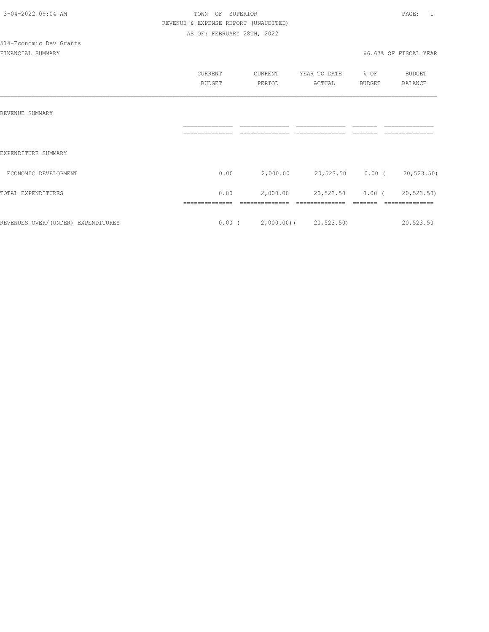|                                    | CURRENT        | CURRENT                         | YEAR TO DATE     | % OF          | BUDGET     |
|------------------------------------|----------------|---------------------------------|------------------|---------------|------------|
|                                    | <b>BUDGET</b>  | PERIOD                          | ACTUAL           | <b>BUDGET</b> | BALANCE    |
|                                    |                |                                 |                  |               |            |
|                                    |                |                                 |                  |               |            |
| REVENUE SUMMARY                    |                |                                 |                  |               |            |
|                                    | -------------- |                                 |                  |               |            |
|                                    |                |                                 |                  |               |            |
| EXPENDITURE SUMMARY                |                |                                 |                  |               |            |
| ECONOMIC DEVELOPMENT               | 0.00           | 2,000.00                        | 20,523.50 0.00 ( |               | 20,523.50) |
|                                    |                |                                 |                  |               |            |
| TOTAL EXPENDITURES                 | 0.00           | 2,000.00                        | 20,523.50        | $0.00$ (      | 20,523.50) |
|                                    |                |                                 |                  |               |            |
| REVENUES OVER/(UNDER) EXPENDITURES |                | $0.00$ ( 2,000.00) ( 20,523.50) |                  |               | 20,523.50  |
|                                    |                |                                 |                  |               |            |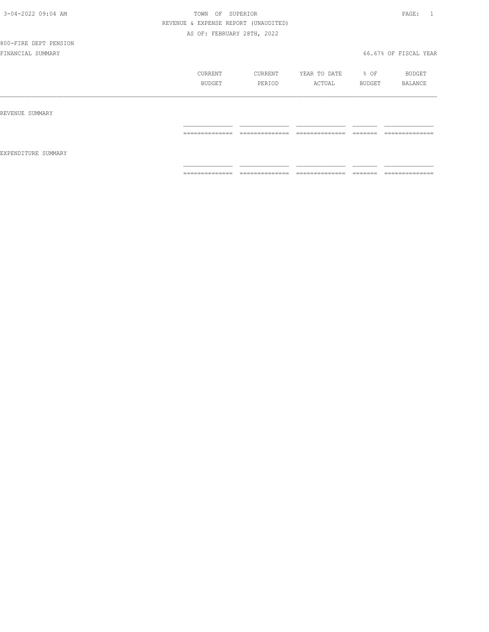# 800-FIRE DEPT PENSION

|                     | CURRENT<br>BUDGET                 | CURRENT<br>PERIOD                 | YEAR TO DATE<br>ACTUAL              | % OF<br>BUDGET      | BUDGET<br>BALANCE                 |
|---------------------|-----------------------------------|-----------------------------------|-------------------------------------|---------------------|-----------------------------------|
| REVENUE SUMMARY     |                                   |                                   |                                     |                     |                                   |
|                     | ______________<br>_______________ | ______________<br>--------------  | ______________<br>_______________   | --------<br>------- | ______________<br>--------------- |
| EXPENDITURE SUMMARY |                                   |                                   |                                     |                     |                                   |
|                     | ==============                    | --------------<br>--------------- | ---------------<br>---------------- | --------<br>------- | --------------                    |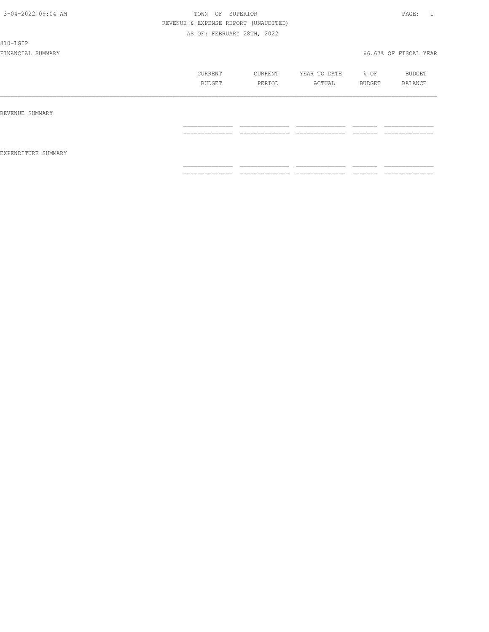810-LGIP

|                     | CURRENT<br>BUDGET                                                                                                                                                                                                                                                                                                                                                                                                                                                                            | CURRENT<br>PERIOD                                                                                                                                                                                                                                                                                                                                                                                                                                                                      | YEAR TO DATE<br>ACTUAL                                                                                                                                                                                                                                                                                                                                                                                                                                                                 | % OF<br>BUDGET                                                                                                                                                                                                                                                                                                                                                                                                                                                                                                                                                 | BUDGET<br>BALANCE                                                                                                                                                                                                                                                                                                                                                                                                                                                                            |
|---------------------|----------------------------------------------------------------------------------------------------------------------------------------------------------------------------------------------------------------------------------------------------------------------------------------------------------------------------------------------------------------------------------------------------------------------------------------------------------------------------------------------|----------------------------------------------------------------------------------------------------------------------------------------------------------------------------------------------------------------------------------------------------------------------------------------------------------------------------------------------------------------------------------------------------------------------------------------------------------------------------------------|----------------------------------------------------------------------------------------------------------------------------------------------------------------------------------------------------------------------------------------------------------------------------------------------------------------------------------------------------------------------------------------------------------------------------------------------------------------------------------------|----------------------------------------------------------------------------------------------------------------------------------------------------------------------------------------------------------------------------------------------------------------------------------------------------------------------------------------------------------------------------------------------------------------------------------------------------------------------------------------------------------------------------------------------------------------|----------------------------------------------------------------------------------------------------------------------------------------------------------------------------------------------------------------------------------------------------------------------------------------------------------------------------------------------------------------------------------------------------------------------------------------------------------------------------------------------|
| REVENUE SUMMARY     |                                                                                                                                                                                                                                                                                                                                                                                                                                                                                              |                                                                                                                                                                                                                                                                                                                                                                                                                                                                                        |                                                                                                                                                                                                                                                                                                                                                                                                                                                                                        |                                                                                                                                                                                                                                                                                                                                                                                                                                                                                                                                                                |                                                                                                                                                                                                                                                                                                                                                                                                                                                                                              |
| EXPENDITURE SUMMARY | $\begin{array}{c} \multicolumn{2}{c} {\textbf{1}} & \multicolumn{2}{c} {\textbf{2}} & \multicolumn{2}{c} {\textbf{3}} & \multicolumn{2}{c} {\textbf{4}} \\ \multicolumn{2}{c} {\textbf{2}} & \multicolumn{2}{c} {\textbf{3}} & \multicolumn{2}{c} {\textbf{4}} & \multicolumn{2}{c} {\textbf{5}} & \multicolumn{2}{c} {\textbf{6}} \\ \multicolumn{2}{c} {\textbf{5}} & \multicolumn{2}{c} {\textbf{6}} & \multicolumn{2}{c} {\textbf{7}} & \multicolumn{2}{c} {\textbf{8}} & \multicolumn{$ | ______________<br>-------------                                                                                                                                                                                                                                                                                                                                                                                                                                                        | ==============                                                                                                                                                                                                                                                                                                                                                                                                                                                                         | $\begin{tabular}{ll} \multicolumn{2}{c}{\textbf{2.5}} & \multicolumn{2}{c}{\textbf{2.5}} & \multicolumn{2}{c}{\textbf{2.5}} \\ \multicolumn{2}{c}{\textbf{2.5}} & \multicolumn{2}{c}{\textbf{2.5}} & \multicolumn{2}{c}{\textbf{2.5}} \\ \multicolumn{2}{c}{\textbf{3.5}} & \multicolumn{2}{c}{\textbf{4.5}} & \multicolumn{2}{c}{\textbf{5.5}} \\ \multicolumn{2}{c}{\textbf{5.5}} & \multicolumn{2}{c}{\textbf{6.5}} & \multicolumn{2}{c}{\textbf{7$                                                                                                         | ______________<br>---------------                                                                                                                                                                                                                                                                                                                                                                                                                                                            |
|                     | $\begin{array}{c} \multicolumn{2}{c} {\textbf{1}} & \multicolumn{2}{c} {\textbf{2}} & \multicolumn{2}{c} {\textbf{3}} & \multicolumn{2}{c} {\textbf{4}} \\ \multicolumn{2}{c} {\textbf{2}} & \multicolumn{2}{c} {\textbf{3}} & \multicolumn{2}{c} {\textbf{4}} & \multicolumn{2}{c} {\textbf{5}} & \multicolumn{2}{c} {\textbf{6}} \\ \multicolumn{2}{c} {\textbf{5}} & \multicolumn{2}{c} {\textbf{6}} & \multicolumn{2}{c} {\textbf{7}} & \multicolumn{2}{c} {\textbf{8}} & \multicolumn{$ | $\begin{array}{cccccccccc} \multicolumn{2}{c}{} & \multicolumn{2}{c}{} & \multicolumn{2}{c}{} & \multicolumn{2}{c}{} & \multicolumn{2}{c}{} & \multicolumn{2}{c}{} & \multicolumn{2}{c}{} & \multicolumn{2}{c}{} & \multicolumn{2}{c}{} & \multicolumn{2}{c}{} & \multicolumn{2}{c}{} & \multicolumn{2}{c}{} & \multicolumn{2}{c}{} & \multicolumn{2}{c}{} & \multicolumn{2}{c}{} & \multicolumn{2}{c}{} & \multicolumn{2}{c}{} & \multicolumn{2}{c}{} & \multicolumn{2}{c}{} & \mult$ | $\begin{array}{cccccccccc} \multicolumn{2}{c}{} & \multicolumn{2}{c}{} & \multicolumn{2}{c}{} & \multicolumn{2}{c}{} & \multicolumn{2}{c}{} & \multicolumn{2}{c}{} & \multicolumn{2}{c}{} & \multicolumn{2}{c}{} & \multicolumn{2}{c}{} & \multicolumn{2}{c}{} & \multicolumn{2}{c}{} & \multicolumn{2}{c}{} & \multicolumn{2}{c}{} & \multicolumn{2}{c}{} & \multicolumn{2}{c}{} & \multicolumn{2}{c}{} & \multicolumn{2}{c}{} & \multicolumn{2}{c}{} & \multicolumn{2}{c}{} & \mult$ | $\begin{array}{c} \begin{array}{c} \begin{array}{c} \begin{array}{c} \begin{array}{c} \end{array}\\ \end{array}\\ \end{array} \end{array} \end{array} \end{array} \end{array} \end{array} \end{array} \begin{array}{c} \begin{array}{c} \begin{array}{c} \begin{array}{c} \end{array}\\ \end{array} \end{array} \end{array} \end{array} \begin{array}{c} \begin{array}{c} \begin{array}{c} \end{array}\\ \end{array} \end{array} \end{array} \end{array} \begin{array}{c} \begin{array}{c} \begin{array}{c} \end{array}\\ \end{array} \end{array} \end{array}$ | $\begin{array}{c} \multicolumn{2}{c} {\textbf{1}} & \multicolumn{2}{c} {\textbf{2}} & \multicolumn{2}{c} {\textbf{3}} & \multicolumn{2}{c} {\textbf{4}} \\ \multicolumn{2}{c} {\textbf{2}} & \multicolumn{2}{c} {\textbf{3}} & \multicolumn{2}{c} {\textbf{4}} & \multicolumn{2}{c} {\textbf{5}} & \multicolumn{2}{c} {\textbf{6}} \\ \multicolumn{2}{c} {\textbf{5}} & \multicolumn{2}{c} {\textbf{6}} & \multicolumn{2}{c} {\textbf{7}} & \multicolumn{2}{c} {\textbf{8}} & \multicolumn{$ |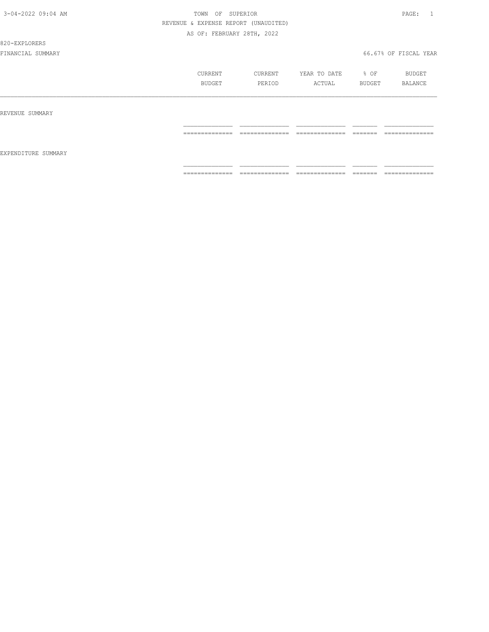#### 820-EXPLORERS

|                     | CURRENT<br>BUDGET    | CURRENT<br>PERIOD                | YEAR TO DATE<br>ACTUAL             | % OF<br>BUDGET       | BUDGET<br>BALANCE                 |
|---------------------|----------------------|----------------------------------|------------------------------------|----------------------|-----------------------------------|
| REVENUE SUMMARY     | ==============       | ______________                   | ______________                     | --------             | ==============                    |
| EXPENDITURE SUMMARY |                      | -------------                    | -------------                      | ------               |                                   |
|                     | ---------------<br>. | --------------<br>______________ | ---------------<br>_______________ | --------<br>________ | --------------<br>_______________ |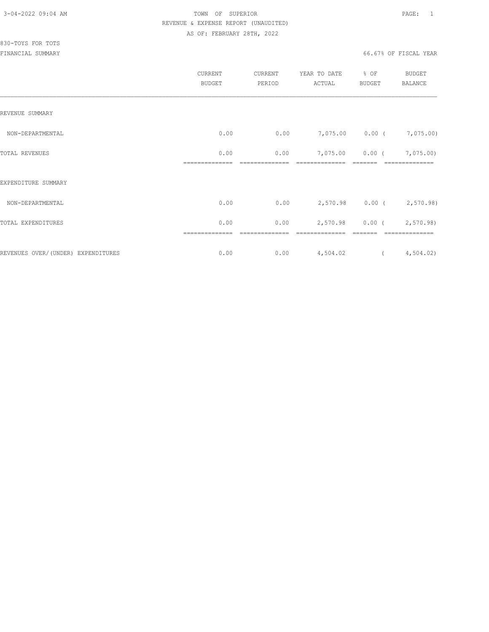|                                    | CURRENT<br><b>BUDGET</b> | CURRENT<br>PERIOD | YEAR TO DATE<br>ACTUAL | % OF<br><b>BUDGET</b> | <b>BUDGET</b><br>BALANCE |
|------------------------------------|--------------------------|-------------------|------------------------|-----------------------|--------------------------|
| REVENUE SUMMARY                    |                          |                   |                        |                       |                          |
| NON-DEPARTMENTAL                   | 0.00                     | 0.00              |                        | 7,075.00 0.00 (       | 7,075.00)                |
| <b>TOTAL REVENUES</b>              | 0.00                     | 0.00              | 7,075.00               | $0.00$ (              | 7,075.00)                |
| EXPENDITURE SUMMARY                |                          |                   |                        |                       |                          |
| NON-DEPARTMENTAL                   | 0.00                     | 0.00              |                        |                       | 2,570.98 0.00 (2,570.98) |
| TOTAL EXPENDITURES                 | 0.00                     | 0.00              | 2,570.98               |                       | $0.00$ ( 2,570.98)       |
| REVENUES OVER/(UNDER) EXPENDITURES | 0.00                     | 0.00              | 4,504.02               | $\overline{a}$        | 4,504.02)                |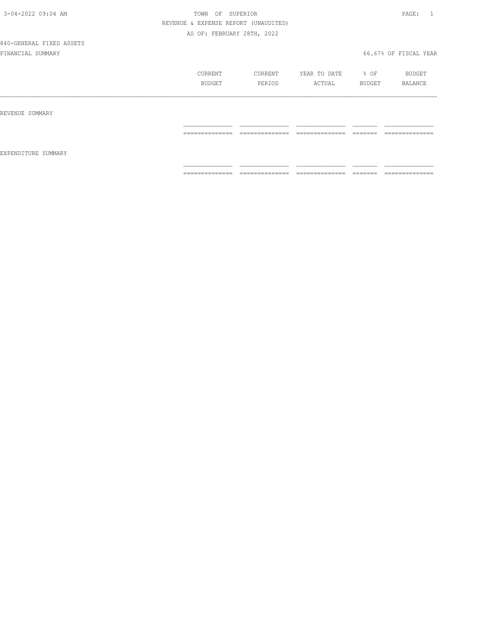840-GENERAL FIXED ASSETS

|                     | CURRENT<br>BUDGET                                                                                                                                                                                                                                                                                                                                                                                                                                                                      | CURRENT<br>PERIOD                                                                                                                                                                                                                                                                                                                                                                                                                                                                      | YEAR TO DATE<br>ACTUAL                                                                                                                                                                                                                                                                                                                                                                                                                                                                 | % OF<br>BUDGET                                                                                                                                                                                                                                                                                                                                                                                                                                                                                                                                                 | BUDGET<br>BALANCE |
|---------------------|----------------------------------------------------------------------------------------------------------------------------------------------------------------------------------------------------------------------------------------------------------------------------------------------------------------------------------------------------------------------------------------------------------------------------------------------------------------------------------------|----------------------------------------------------------------------------------------------------------------------------------------------------------------------------------------------------------------------------------------------------------------------------------------------------------------------------------------------------------------------------------------------------------------------------------------------------------------------------------------|----------------------------------------------------------------------------------------------------------------------------------------------------------------------------------------------------------------------------------------------------------------------------------------------------------------------------------------------------------------------------------------------------------------------------------------------------------------------------------------|----------------------------------------------------------------------------------------------------------------------------------------------------------------------------------------------------------------------------------------------------------------------------------------------------------------------------------------------------------------------------------------------------------------------------------------------------------------------------------------------------------------------------------------------------------------|-------------------|
| REVENUE SUMMARY     |                                                                                                                                                                                                                                                                                                                                                                                                                                                                                        |                                                                                                                                                                                                                                                                                                                                                                                                                                                                                        |                                                                                                                                                                                                                                                                                                                                                                                                                                                                                        |                                                                                                                                                                                                                                                                                                                                                                                                                                                                                                                                                                |                   |
|                     | ==============                                                                                                                                                                                                                                                                                                                                                                                                                                                                         | ==============                                                                                                                                                                                                                                                                                                                                                                                                                                                                         | ==============                                                                                                                                                                                                                                                                                                                                                                                                                                                                         |                                                                                                                                                                                                                                                                                                                                                                                                                                                                                                                                                                | --------------    |
| EXPENDITURE SUMMARY |                                                                                                                                                                                                                                                                                                                                                                                                                                                                                        |                                                                                                                                                                                                                                                                                                                                                                                                                                                                                        |                                                                                                                                                                                                                                                                                                                                                                                                                                                                                        |                                                                                                                                                                                                                                                                                                                                                                                                                                                                                                                                                                |                   |
|                     | $\begin{array}{cccccccccc} \multicolumn{2}{c}{} & \multicolumn{2}{c}{} & \multicolumn{2}{c}{} & \multicolumn{2}{c}{} & \multicolumn{2}{c}{} & \multicolumn{2}{c}{} & \multicolumn{2}{c}{} & \multicolumn{2}{c}{} & \multicolumn{2}{c}{} & \multicolumn{2}{c}{} & \multicolumn{2}{c}{} & \multicolumn{2}{c}{} & \multicolumn{2}{c}{} & \multicolumn{2}{c}{} & \multicolumn{2}{c}{} & \multicolumn{2}{c}{} & \multicolumn{2}{c}{} & \multicolumn{2}{c}{} & \multicolumn{2}{c}{} & \mult$ | $\begin{array}{cccccccccc} \multicolumn{2}{c}{} & \multicolumn{2}{c}{} & \multicolumn{2}{c}{} & \multicolumn{2}{c}{} & \multicolumn{2}{c}{} & \multicolumn{2}{c}{} & \multicolumn{2}{c}{} & \multicolumn{2}{c}{} & \multicolumn{2}{c}{} & \multicolumn{2}{c}{} & \multicolumn{2}{c}{} & \multicolumn{2}{c}{} & \multicolumn{2}{c}{} & \multicolumn{2}{c}{} & \multicolumn{2}{c}{} & \multicolumn{2}{c}{} & \multicolumn{2}{c}{} & \multicolumn{2}{c}{} & \multicolumn{2}{c}{} & \mult$ | $\begin{array}{cccccccccc} \multicolumn{2}{c}{} & \multicolumn{2}{c}{} & \multicolumn{2}{c}{} & \multicolumn{2}{c}{} & \multicolumn{2}{c}{} & \multicolumn{2}{c}{} & \multicolumn{2}{c}{} & \multicolumn{2}{c}{} & \multicolumn{2}{c}{} & \multicolumn{2}{c}{} & \multicolumn{2}{c}{} & \multicolumn{2}{c}{} & \multicolumn{2}{c}{} & \multicolumn{2}{c}{} & \multicolumn{2}{c}{} & \multicolumn{2}{c}{} & \multicolumn{2}{c}{} & \multicolumn{2}{c}{} & \multicolumn{2}{c}{} & \mult$ | $\begin{array}{c} \begin{array}{c} \begin{array}{c} \begin{array}{c} \begin{array}{c} \end{array}\\ \end{array}\\ \end{array} \end{array} \end{array} \end{array} \end{array} \end{array} \end{array} \begin{array}{c} \begin{array}{c} \begin{array}{c} \begin{array}{c} \end{array}\\ \end{array} \end{array} \end{array} \end{array} \begin{array}{c} \begin{array}{c} \begin{array}{c} \end{array}\\ \end{array} \end{array} \end{array} \end{array} \begin{array}{c} \begin{array}{c} \begin{array}{c} \end{array}\\ \end{array} \end{array} \end{array}$ | ==============    |